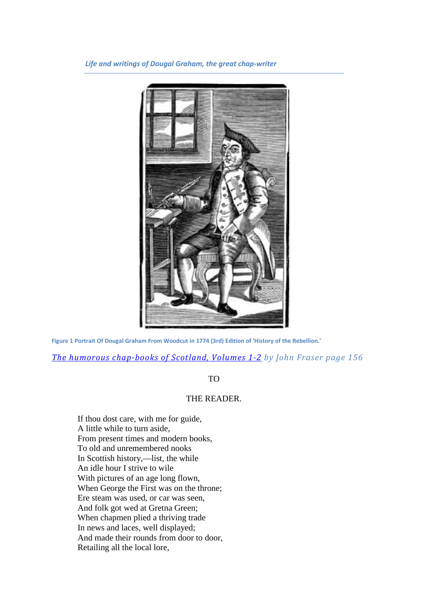*Life and writings of Dougal Graham, the great chap-writer*



**Figure 1 Portrait Of Dougal Graham From Woodcut in 1774 (3rd) Edition of 'History of the Rebellion.'**

*[The humorous chap-books of Scotland, Volumes 1-2](http://books.google.com/books?id=yyV3zBi5rokC&lpg=PA164&ots=3gyrS5DAJJ&dq=%22Ford%20of%20Frew%22&pg=PA156-IA19#v=onepage&q&f=false) by John Fraser page 156*

TO

# THE READER.

If thou dost care, with me for guide, A little while to turn aside, From present times and modern books, To old and unremembered nooks In Scottish history,—list, the while An idle hour I strive to wile With pictures of an age long flown, When George the First was on the throne; Ere steam was used, or car was seen, And folk got wed at Gretna Green; When chapmen plied a thriving trade In news and laces, well displayed; And made their rounds from door to door, Retailing all the local lore,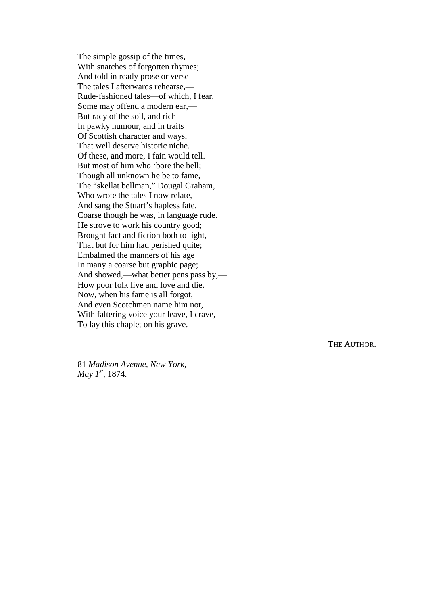The simple gossip of the times, With snatches of forgotten rhymes ; And told in ready prose or verse The tales I afterwards rehearse, — Rude -fashioned tales —of which, I fear, Some may offend a modern ear, — But racy of the soil, and rich In pawky humour, and in trait s Of Scottish character and way s , That well deserve historic niche. Of these, and more, I fain would tell. But most of him who 'bore the bell; Though all unknown he be to fame, The "skellat bellman, " Dougal Graham, Who wrote the tales I now relate, And sang the Stuart 's hapless fate. Coarse though he was, in language rude. He strove to work his country good; Brought fact and fiction both to light, That but for him had perished quite; Embalmed the manners of his age In many a coarse but graphic page ; And showed, —what better pens pass by, — How poor folk live and love and die. Now, when his fame is all forgot, And even Scotchmen name him not, With faltering voice your leave, I crave, To lay this chaplet on his grave.

THE AUTHOR.

81 *Madison Avenue, New York, May 1<sup>st</sup>*, 1874.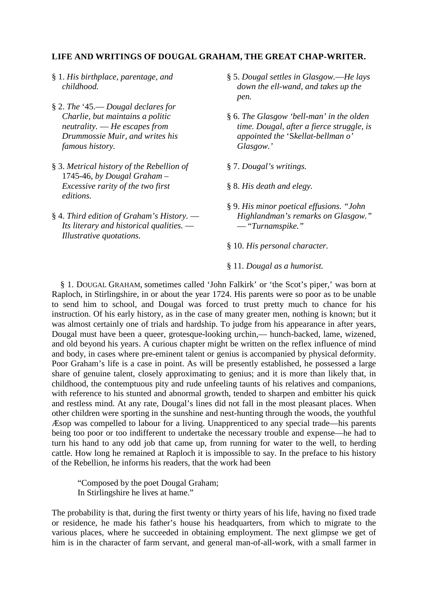#### **LIFE AND WRITINGS OF DOUGAL GRAHAM, THE GREAT CHAP-WRITER.**

- § 1. *His birthplace, parentage, and childhood.*
- § 2. *The* '45.— *Dougal declares for Charlie, but maintains a politic neutrality.* — *He escapes from Drummossie Muir, and writes his famous history.*
- § 3. *Metrical history of the Rebellion of*  1745-46, *by Dougal Graham – Excessive rarity of the two first editions.*
- § 4. *Third edition of Graham's History. Its literary and historical qualities.* — *Illustrative quotations.*
- § 5. *Dougal settles in Glasgow.*—*He lays down the ell-wand, and takes up the pen.*
- § 6. *The Glasgow 'bell-man' in the olden time. Dougal, after a fierce struggle, is appointed the* 'S*kellat-bellman o' Glasgow.'*
- § 7. *Dougal's writings.*
- § 8. *His death and elegy.*
- § 9. *His minor poetical effusions. "John Highlandman's remarks on Glasgow."* — "*Turnamspike."*
- § 10. *His personal character.*
- § 11. *Dougal as a humorist.*

§ 1. DOUGAL GRAHAM, sometimes called 'John Falkirk' or 'the Scot's piper,' was born at Raploch, in Stirlingshire, in or about the year 1724. His parents were so poor as to be unable to send him to school, and Dougal was forced to trust pretty much to chance for his instruction. Of his early history, as in the case of many greater men, nothing is known; but it was almost certainly one of trials and hardship. To judge from his appearance in after years, Dougal must have been a queer, grotesque-looking urchin,— hunch-backed, lame, wizened, and old beyond his years. A curious chapter might be written on the reflex influence of mind and body, in cases where pre-eminent talent or genius is accompanied by physical deformity. Poor Graham's life is a case in point. As will be presently established, he possessed a large share of genuine talent, closely approximating to genius; and it is more than likely that, in childhood, the contemptuous pity and rude unfeeling taunts of his relatives and companions, with reference to his stunted and abnormal growth, tended to sharpen and embitter his quick and restless mind. At any rate, Dougal's lines did not fall in the most pleasant places. When other children were sporting in the sunshine and nest-hunting through the woods, the youthful Æsop was compelled to labour for a living. Unapprenticed to any special trade—his parents being too poor or too indifferent to undertake the necessary trouble and expense—he had to turn his hand to any odd job that came up, from running for water to the well, to herding cattle. How long he remained at Raploch it is impossible to say. In the preface to his history of the Rebellion, he informs his readers, that the work had been

"Composed by the poet Dougal Graham; In Stirlingshire he lives at hame."

The probability is that, during the first twenty or thirty years of his life, having no fixed trade or residence, he made his father's house his headquarters, from which to migrate to the various places, where he succeeded in obtaining employment. The next glimpse we get of him is in the character of farm servant, and general man-of-all-work, with a small farmer in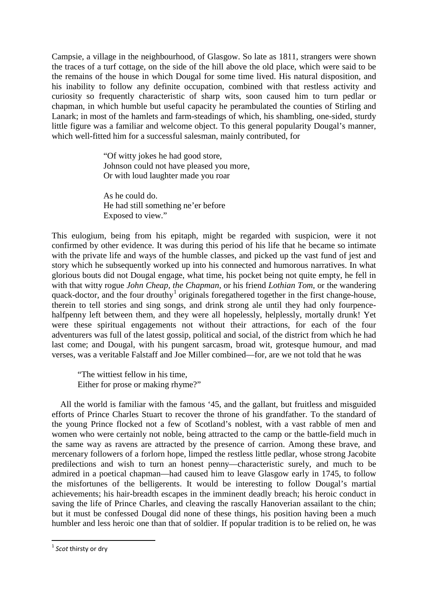Campsie, a village in the neighbourhood, of Glasgow. So late as 1811, strangers were shown the traces of a turf cottage, on the side of the hill above the old place, which were said to be the remains of the house in which Dougal for some time lived. His natural disposition, and his inability to follow any definite occupation, combined with that restless activity and curiosity so frequently characteristic of sharp wits, soon caused him to turn pedlar or chapman, in which humble but useful capacity he perambulated the counties of Stirling and Lanark; in most of the hamlets and farm-steadings of which, his shambling, one-sided, sturdy little figure was a familiar and welcome object. To this general popularity Dougal's manner, which well-fitted him for a successful salesman, mainly contributed, for

> "Of witty jokes he had good store, Johnson could not have pleased you more, Or with loud laughter made you roar

As he could do. He had still something ne'er before Exposed to view."

This eulogium, being from his epitaph, might be regarded with suspicion, were it not confirmed by other evidence. It was during this period of his life that he became so intimate with the private life and ways of the humble classes, and picked up the vast fund of jest and story which he subsequently worked up into his connected and humorous narratives. In what glorious bouts did not Dougal engage, what time, his pocket being not quite empty, he fell in with that witty rogue *John Cheap, the Chapman,* or his friend *Lothian Tom,* or the wandering quack-doctor, and the four drouthy<sup>[1](#page-3-0)</sup> originals foregathered together in the first change-house, therein to tell stories and sing songs, and drink strong ale until they had only fourpencehalfpenny left between them, and they were all hopelessly, helplessly, mortally drunk! Yet were these spiritual engagements not without their attractions, for each of the four adventurers was full of the latest gossip, political and social, of the district from which he had last come; and Dougal, with his pungent sarcasm, broad wit, grotesque humour, and mad verses, was a veritable Falstaff and Joe Miller combined—for, are we not told that he was

"The wittiest fellow in his time, Either for prose or making rhyme?"

All the world is familiar with the famous '45, and the gallant, but fruitless and misguided efforts of Prince Charles Stuart to recover the throne of his grandfather. To the standard of the young Prince flocked not a few of Scotland's noblest, with a vast rabble of men and women who were certainly not noble, being attracted to the camp or the battle-field much in the same way as ravens are attracted by the presence of carrion. Among these brave, and mercenary followers of a forlorn hope, limped the restless little pedlar, whose strong Jacobite predilections and wish to turn an honest penny—characteristic surely, and much to be admired in a poetical chapman—had caused him to leave Glasgow early in 1745, to follow the misfortunes of the belligerents. It would be interesting to follow Dougal's martial achievements; his hair-breadth escapes in the imminent deadly breach; his heroic conduct in saving the life of Prince Charles, and cleaving the rascally Hanoverian assailant to the chin; but it must be confessed Dougal did none of these things, his position having been a much humbler and less heroic one than that of soldier. If popular tradition is to be relied on, he was

<span id="page-3-0"></span> <sup>1</sup> *Scot* thirsty or dry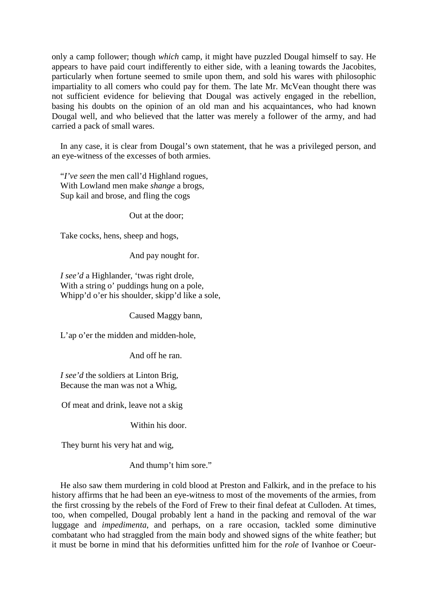only a camp follower; though *which* camp, it might have puzzled Dougal himself to say. He appears to have paid court indifferently to either side, with a leaning towards the Jacobites, particularly when fortune seemed to smile upon them, and sold his wares with philosophic impartiality to all comers who could pay for them. The late Mr. McVean thought there was not sufficient evidence for believing that Dougal was actively engaged in the rebellion, basing his doubts on the opinion of an old man and his acquaintances, who had known Dougal well, and who believed that the latter was merely a follower of the army, and had carried a pack of small wares.

In any case, it is clear from Dougal's own statement, that he was a privileged person, and an eye-witness of the excesses of both armies.

"*I've seen* the men call'd Highland rogues, With Lowland men make *shange* a brogs, Sup kail and brose, and fling the cogs

Out at the door;

Take cocks, hens, sheep and hogs,

And pay nought for.

*I see'd* a Highlander, 'twas right drole, With a string o' puddings hung on a pole, Whipp'd o'er his shoulder, skipp'd like a sole,

Caused Maggy bann,

L'ap o'er the midden and midden-hole,

And off he ran.

*I see'd* the soldiers at Linton Brig, Because the man was not a Whig,

Of meat and drink, leave not a skig

Within his door.

They burnt his very hat and wig,

And thump't him sore."

He also saw them murdering in cold blood at Preston and Falkirk, and in the preface to his history affirms that he had been an eye-witness to most of the movements of the armies, from the first crossing by the rebels of the Ford of Frew to their final defeat at Culloden. At times, too, when compelled, Dougal probably lent a hand in the packing and removal of the war luggage and *impedimenta,* and perhaps, on a rare occasion, tackled some diminutive combatant who had straggled from the main body and showed signs of the white feather; but it must be borne in mind that his deformities unfitted him for the *role* of Ivanhoe or Coeur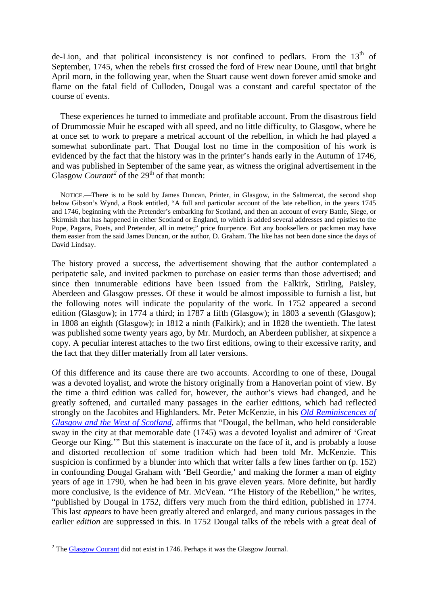de-Lion, and that political inconsistency is not confined to pedlars. From the  $13<sup>th</sup>$  of September, 1745, when the rebels first crossed the ford of Frew near Doune, until that bright April morn, in the following year, when the Stuart cause went down forever amid smoke and flame on the fatal field of Culloden, Dougal was a constant and careful spectator of the course of events.

These experiences he turned to immediate and profitable account. From the disastrous field of Drummossie Muir he escaped with all speed, and no little difficulty, to Glasgow, where he at once set to work to prepare a metrical account of the rebellion, in which he had played a somewhat subordinate part. That Dougal lost no time in the composition of his work is evidenced by the fact that the history was in the printer's hands early in the Autumn of 1746, and was published in September of the same year, as witness the original advertisement in the Glasgow *Courant*<sup>[2](#page-5-0)</sup> of the 29<sup>th</sup> of that month:

NOTICE.—There is to be sold by James Duncan, Printer, in Glasgow, in the Saltmercat, the second shop below Gibson's Wynd, a Book entitled, "A full and particular account of the late rebellion, in the years 1745 and 1746, beginning with the Pretender's embarking for Scotland, and then an account of every Battle, Siege, or Skirmish that has happened in either Scotland or England, to which is added several addresses and epistles to the Pope, Pagans, Poets, and Pretender, all in metre;" price fourpence. But any booksellers or packmen may have them easier from the said James Duncan, or the author, D. Graham. The like has not been done since the days of David Lindsay.

The history proved a success, the advertisement showing that the author contemplated a peripatetic sale, and invited packmen to purchase on easier terms than those advertised; and since then innumerable editions have been issued from the Falkirk, Stirling, Paisley, Aberdeen and Glasgow presses. Of these it would be almost impossible to furnish a list, but the following notes will indicate the popularity of the work. In 1752 appeared a second edition (Glasgow); in 1774 a third; in 1787 a fifth (Glasgow); in 1803 a seventh (Glasgow); in 1808 an eighth (Glasgow); in 1812 a ninth (Falkirk); and in 1828 the twentieth. The latest was published some twenty years ago, by Mr. Murdoch, an Aberdeen publisher, at sixpence a copy. A peculiar interest attaches to the two first editions, owing to their excessive rarity, and the fact that they differ materially from all later versions.

Of this difference and its cause there are two accounts. According to one of these, Dougal was a devoted loyalist, and wrote the history originally from a Hanoverian point of view. By the time a third edition was called for, however, the author's views had changed, and he greatly softened, and curtailed many passages in the earlier editions, which had reflected strongly on the Jacobites and Highlanders. Mr. Peter McKenzie, in his *[Old Reminiscences of](http://books.google.com/books?id=y0-Kw-LYktAC&dq=McKenzie%2C%20in%20his%20Old%20Reminiscences%20of%20Glasgow%20and%20the%20West%20of%20Scotland%2C&pg=PA3#v=onepage&q&f=false)  Glasgow and the West of Scotland*, affirms that "Dougal, the bellman, who held considerable sway in the city at that memorable date (1745) was a devoted loyalist and admirer of 'Great George our King.'" But this statement is inaccurate on the face of it, and is probably a loose and distorted recollection of some tradition which had been told Mr. McKenzie. This suspicion is confirmed by a blunder into which that writer falls a few lines farther on (p. 152) in confounding Dougal Graham with 'Bell Geordie,' and making the former a man of eighty years of age in 1790, when he had been in his grave eleven years. More definite, but hardly more conclusive, is the evidence of Mr. McVean. "The History of the Rebellion," he writes, "published by Dougal in 1752, differs very much from the third edition, published in 1774. This last *appears* to have been greatly altered and enlarged, and many curious passages in the earlier *edition* are suppressed in this. In 1752 Dougal talks of the rebels with a great deal of

<span id="page-5-0"></span> $2$  The [Glasgow Courant](http://books.google.com/books?id=VDoCAAAAQAAJ&dq=glasgow%20courant&pg=PA457#v=onepage&q&f=false) did not exist in 1746. Perhaps it was the Glasgow Journal.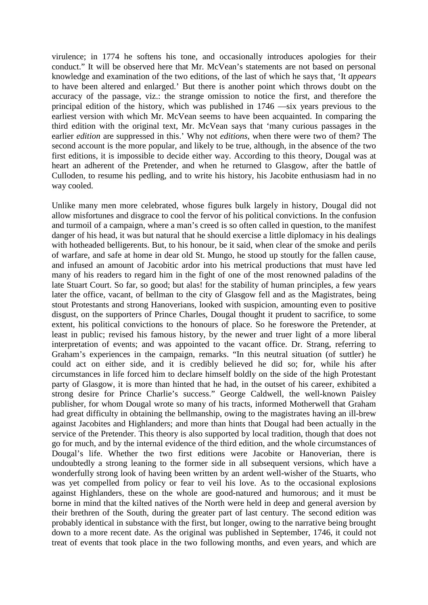virulence; in 1774 he softens his tone, and occasionally introduces apologies for their conduct." It will be observed here that Mr. McVean's statements are not based on personal knowledge and examination of the two editions, of the last of which he says that, 'It *appears*  to have been altered and enlarged.' But there is another point which throws doubt on the accuracy of the passage, viz.: the strange omission to notice the first, and therefore the principal edition of the history, which was published in 1746 —six years previous to the earliest version with which Mr. McVean seems to have been acquainted. In comparing the third edition with the original text, Mr. McVean says that 'many curious passages in the earlier *edition* are suppressed in this.' Why not *editions,* when there were two of them? The second account is the more popular, and likely to be true, although, in the absence of the two first editions, it is impossible to decide either way. According to this theory, Dougal was at heart an adherent of the Pretender, and when he returned to Glasgow, after the battle of Culloden, to resume his pedling, and to write his history, his Jacobite enthusiasm had in no way cooled.

Unlike many men more celebrated, whose figures bulk largely in history, Dougal did not allow misfortunes and disgrace to cool the fervor of his political convictions. In the confusion and turmoil of a campaign, where a man's creed is so often called in question, to the manifest danger of his head, it was but natural that he should exercise a little diplomacy in his dealings with hotheaded belligerents. But, to his honour, be it said, when clear of the smoke and perils of warfare, and safe at home in dear old St. Mungo, he stood up stoutly for the fallen cause, and infused an amount of Jacobitic ardor into his metrical productions that must have led many of his readers to regard him in the fight of one of the most renowned paladins of the late Stuart Court. So far, so good; but alas! for the stability of human principles, a few years later the office, vacant, of bellman to the city of Glasgow fell and as the Magistrates, being stout Protestants and strong Hanoverians, looked with suspicion, amounting even to positive disgust, on the supporters of Prince Charles, Dougal thought it prudent to sacrifice, to some extent, his political convictions to the honours of place. So he foreswore the Pretender, at least in public; revised his famous history, by the newer and truer light of a more liberal interpretation of events; and was appointed to the vacant office. Dr. Strang, referring to Graham's experiences in the campaign, remarks. "In this neutral situation (of suttler) he could act on either side, and it is credibly believed he did so; for, while his after circumstances in life forced him to declare himself boldly on the side of the high Protestant party of Glasgow, it is more than hinted that he had, in the outset of his career, exhibited a strong desire for Prince Charlie's success." George Caldwell, the well-known Paisley publisher, for whom Dougal wrote so many of his tracts, informed Motherwell that Graham had great difficulty in obtaining the bellmanship, owing to the magistrates having an ill-brew against Jacobites and Highlanders; and more than hints that Dougal had been actually in the service of the Pretender. This theory is also supported by local tradition, though that does not go for much, and by the internal evidence of the third edition, and the whole circumstances of Dougal's life. Whether the two first editions were Jacobite or Hanoverian, there is undoubtedly a strong leaning to the former side in all subsequent versions, which have a wonderfully strong look of having been written by an ardent well-wisher of the Stuarts, who was yet compelled from policy or fear to veil his love. As to the occasional explosions against Highlanders, these on the whole are good-natured and humorous; and it must be borne in mind that the kilted natives of the North were held in deep and general aversion by their brethren of the South, during the greater part of last century. The second edition was probably identical in substance with the first, but longer, owing to the narrative being brought down to a more recent date. As the original was published in September, 1746, it could not treat of events that took place in the two following months, and even years, and which are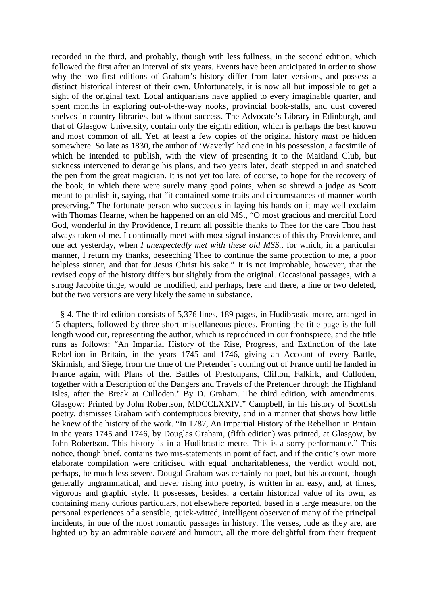recorded in the third, and probably, though with less fullness, in the second edition, which followed the first after an interval of six years. Events have been anticipated in order to show why the two first editions of Graham's history differ from later versions, and possess a distinct historical interest of their own. Unfortunately, it is now all but impossible to get a sight of the original text. Local antiquarians have applied to every imaginable quarter, and spent months in exploring out-of-the-way nooks, provincial book-stalls, and dust covered shelves in country libraries, but without success. The Advocate's Library in Edinburgh, and that of Glasgow University, contain only the eighth edition, which is perhaps the best known and most common of all. Yet, at least a few copies of the original history *must* be hidden somewhere. So late as 1830, the author of 'Waverly' had one in his possession, a facsimile of which he intended to publish, with the view of presenting it to the Maitland Club, but sickness intervened to derange his plans, and two years later, death stepped in and snatched the pen from the great magician. It is not yet too late, of course, to hope for the recovery of the book, in which there were surely many good points, when so shrewd a judge as Scott meant to publish it, saying, that "it contained some traits and circumstances of manner worth preserving." The fortunate person who succeeds in laying his hands on it may well exclaim with Thomas Hearne, when he happened on an old MS., "O most gracious and merciful Lord God, wonderful in thy Providence, I return all possible thanks to Thee for the care Thou hast always taken of me. I continually meet with most signal instances of this thy Providence, and one act yesterday, when *I unexpectedly met with these old MSS.,* for which, in a particular manner, I return my thanks, beseeching Thee to continue the same protection to me, a poor helpless sinner, and that for Jesus Christ his sake." It is not improbable, however, that the revised copy of the history differs but slightly from the original. Occasional passages, with a strong Jacobite tinge, would be modified, and perhaps, here and there, a line or two deleted, but the two versions are very likely the same in substance.

§ 4. The third edition consists of 5,376 lines, 189 pages, in Hudibrastic metre, arranged in 15 chapters, followed by three short miscellaneous pieces. Fronting the title page is the full length wood cut, representing the author, which is reproduced in our frontispiece, and the title runs as follows: "An Impartial History of the Rise, Progress, and Extinction of the late Rebellion in Britain, in the years 1745 and 1746, giving an Account of every Battle, Skirmish, and Siege, from the time of the Pretender's coming out of France until he landed in France again, with Plans of the. Battles of Prestonpans, Clifton, Falkirk, and Culloden, together with a Description of the Dangers and Travels of the Pretender through the Highland Isles, after the Break at Culloden.' By D. Graham. The third edition, with amendments. Glasgow: Printed by John Robertson, MDCCLXXIV." Campbell, in his history of Scottish poetry, dismisses Graham with contemptuous brevity, and in a manner that shows how little he knew of the history of the work. "In 1787, An Impartial History of the Rebellion in Britain in the years 1745 and 1746, by Douglas Graham, (fifth edition) was printed, at Glasgow, by John Robertson. This history is in a Hudibrastic metre. This is a sorry performance." This notice, though brief, contains two mis-statements in point of fact, and if the critic's own more elaborate compilation were criticised with equal uncharitableness, the verdict would not, perhaps, be much less severe. Dougal Graham was certainly no poet, but his account, though generally ungrammatical, and never rising into poetry, is written in an easy, and, at times, vigorous and graphic style. It possesses, besides, a certain historical value of its own, as containing many curious particulars, not elsewhere reported, based in a large measure, on the personal experiences of a sensible, quick-witted, intelligent observer of many of the principal incidents, in one of the most romantic passages in history. The verses, rude as they are, are lighted up by an admirable *naiveté* and humour, all the more delightful from their frequent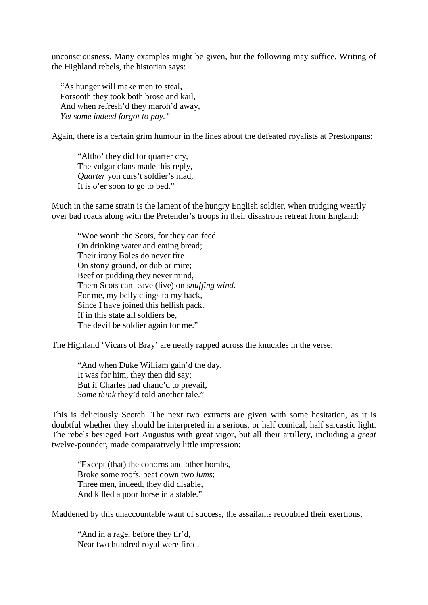unconsciousness. Many examples might be given, but the following may suffice. Writing of the Highland rebels, the historian says:

"As hunger will make men to steal, Forsooth they took both brose and kail, And when refresh'd they maroh'd away, *Yet some indeed forgot to pay."*

Again, there is a certain grim humour in the lines about the defeated royalists at Prestonpans:

"Altho' they did for quarter cry, The vulgar clans made this reply, *Quarter* yon curs't soldier's mad, It is o'er soon to go to bed."

Much in the same strain is the lament of the hungry English soldier, when trudging wearily over bad roads along with the Pretender's troops in their disastrous retreat from England:

"Woe worth the Scots, for they can feed On drinking water and eating bread; Their irony Boles do never tire On stony ground, or dub or mire; Beef or pudding they never mind, Them Scots can leave (live) on *snuffing wind.* For me, my belly clings to my back, Since I have joined this hellish pack. If in this state all soldiers be, The devil be soldier again for me."

The Highland 'Vicars of Bray' are neatly rapped across the knuckles in the verse:

"And when Duke William gain'd the day, It was for him, they then did say; But if Charles had chanc'd to prevail, *Some think* they'd told another tale."

This is deliciously Scotch. The next two extracts are given with some hesitation, as it is doubtful whether they should he interpreted in a serious, or half comical, half sarcastic light. The rebels besieged Fort Augustus with great vigor, but all their artillery, including a *great*  twelve-pounder, made comparatively little impression:

"Except (that) the cohorns and other bombs, Broke some roofs, beat down two *lums*; Three men, indeed, they did disable, And killed a poor horse in a stable."

Maddened by this unaccountable want of success, the assailants redoubled their exertions,

"And in a rage, before they tir'd, Near two hundred royal were fired,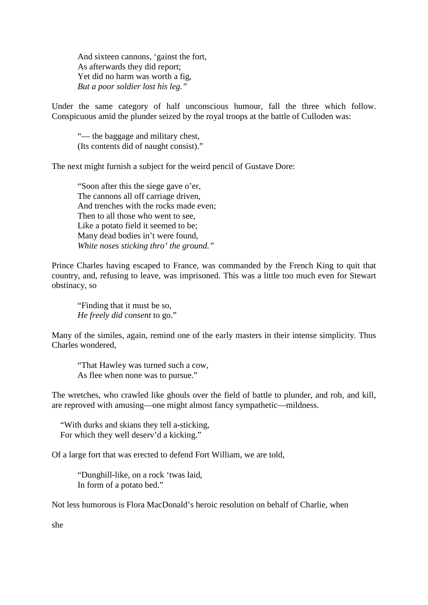And sixteen cannons, 'gainst the fort, As afterwards they did report; Yet did no harm was worth a fig, *But a poor soldier lost his leg."*

Under the same category of half unconscious humour, fall the three which follow. Conspicuous amid the plunder seized by the royal troops at the battle of Culloden was:

"— the baggage and military chest, (Its contents did of naught consist)."

The next might furnish a subject for the weird pencil of Gustave Dore:

"Soon after this the siege gave o'er, The cannons all off carriage driven, And trenches with the rocks made even; Then to all those who went to see, Like a potato field it seemed to be; Many dead bodies in't were found, *White noses sticking thro' the ground."*

Prince Charles having escaped to France, was commanded by the French King to quit that country, and, refusing to leave, was imprisoned. This was a little too much even for Stewart obstinacy, so

"Finding that it must be so, *He freely did consent* to go."

Many of the similes, again, remind one of the early masters in their intense simplicity. Thus Charles wondered,

"That Hawley was turned such a cow, As flee when none was to pursue."

The wretches, who crawled like ghouls over the field of battle to plunder, and rob, and kill, are reproved with amusing—one might almost fancy sympathetic—mildness.

"With durks and skians they tell a-sticking, For which they well deserv'd a kicking."

Of a large fort that was erected to defend Fort William, we are told,

"Dunghill-like, on a rock 'twas laid, In form of a potato bed."

Not less humorous is Flora MacDonald's heroic resolution on behalf of Charlie, when

she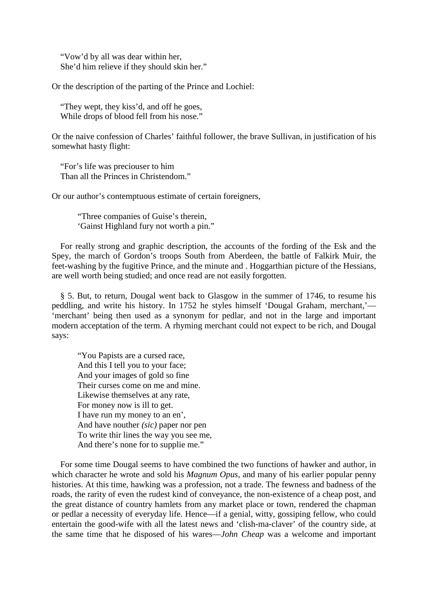"Vow'd by all was dear within her, She'd him relieve if they should skin her."

Or the description of the parting of the Prince and Lochiel:

"They wept, they kiss'd, and off he goes, While drops of blood fell from his nose."

Or the naive confession of Charles' faithful follower, the brave Sullivan, in justification of his somewhat hasty flight:

"For's life was preciouser to him Than all the Princes in Christendom."

Or our author's contemptuous estimate of certain foreigners,

"Three companies of Guise's therein, 'Gainst Highland fury not worth a pin."

For really strong and graphic description, the accounts of the fording of the Esk and the Spey, the march of Gordon's troops South from Aberdeen, the battle of Falkirk Muir, the feet-washing by the fugitive Prince, and the minute and . Hoggarthian picture of the Hessians, are well worth being studied; and once read are not easily forgotten.

§ 5. But, to return, Dougal went back to Glasgow in the summer of 1746, to resume his peddling, and write his history. In 1752 he styles himself 'Dougal Graham, merchant,'— 'merchant' being then used as a synonym for pedlar, and not in the large and important modern acceptation of the term. A rhyming merchant could not expect to be rich, and Dougal says:

"You Papists are a cursed race, And this I tell you to your face; And your images of gold so fine Their curses come on me and mine. Likewise themselves at any rate, For money now is ill to get. I have run my money to an en', And have nouther *(sic)* paper nor pen To write thir lines the way you see me, And there's none for to supplie me."

For some time Dougal seems to have combined the two functions of hawker and author, in which character he wrote and sold his *Magnum Opus,* and many of his earlier popular penny histories. At this time, hawking was a profession, not a trade. The fewness and badness of the roads, the rarity of even the rudest kind of conveyance, the non-existence of a cheap post, and the great distance of country hamlets from any market place or town, rendered the chapman or pedlar a necessity of everyday life. Hence—if a genial, witty, gossiping fellow, who could entertain the good-wife with all the latest news and 'clish-ma-claver' of the country side, at the same time that he disposed of his wares—*John Cheap* was a welcome and important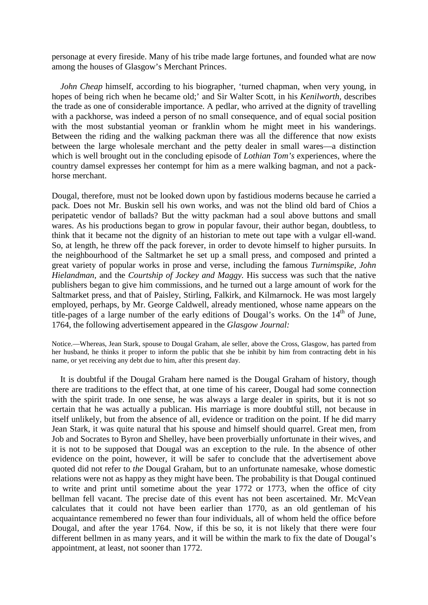personage at every fireside. Many of his tribe made large fortunes, and founded what are now among the houses of Glasgow's Merchant Princes.

*John Cheap himself, according to his biographer, 'turned chapman, when very young, in* hopes of being rich when he became old;' and Sir Walter Scott, in his *Kenilworth,* describes the trade as one of considerable importance. A pedlar, who arrived at the dignity of travelling with a packhorse, was indeed a person of no small consequence, and of equal social position with the most substantial yeoman or franklin whom he might meet in his wanderings. Between the riding and the walking packman there was all the difference that now exists between the large wholesale merchant and the petty dealer in small wares—a distinction which is well brought out in the concluding episode of *Lothian Tom's* experiences, where the country damsel expresses her contempt for him as a mere walking bagman, and not a packhorse merchant.

Dougal, therefore, must not be looked down upon by fastidious moderns because he carried a pack. Does not Mr. Buskin sell his own works, and was not the blind old bard of Chios a peripatetic vendor of ballads? But the witty packman had a soul above buttons and small wares. As his productions began to grow in popular favour, their author began, doubtless, to think that it became not the dignity of an historian to mete out tape with a vulgar ell-wand. So, at length, he threw off the pack forever, in order to devote himself to higher pursuits. In the neighbourhood of the Saltmarket he set up a small press, and composed and printed a great variety of popular works in prose and verse, including the famous *Turnimspike, John Hielandman,* and the *Courtship of Jockey and Maggy.* His success was such that the native publishers began to give him commissions, and he turned out a large amount of work for the Saltmarket press, and that of Paisley, Stirling, Falkirk, and Kilmarnock. He was most largely employed, perhaps, by Mr. George Caldwell, already mentioned, whose name appears on the title-pages of a large number of the early editions of Dougal's works. On the  $14<sup>th</sup>$  of June, 1764, the following advertisement appeared in the *Glasgow Journal:* 

Notice.—Whereas, Jean Stark, spouse to Dougal Graham, ale seller, above the Cross, Glasgow, has parted from her husband, he thinks it proper to inform the public that she be inhibit by him from contracting debt in his name, or yet receiving any debt due to him, after this present day.

It is doubtful if the Dougal Graham here named is the Dougal Graham of history, though there are traditions to the effect that, at one time of his career, Dougal had some connection with the spirit trade. In one sense, he was always a large dealer in spirits, but it is not so certain that he was actually a publican. His marriage is more doubtful still, not because in itself unlikely, but from the absence of all, evidence or tradition on the point. If he did marry Jean Stark, it was quite natural that his spouse and himself should quarrel. Great men, from Job and Socrates to Byron and Shelley, have been proverbially unfortunate in their wives, and it is not to be supposed that Dougal was an exception to the rule. In the absence of other evidence on the point, however, it will be safer to conclude that the advertisement above quoted did not refer to *the* Dougal Graham, but to an unfortunate namesake, whose domestic relations were not as happy as they might have been. The probability is that Dougal continued to write and print until sometime about the year 1772 or 1773, when the office of city bellman fell vacant. The precise date of this event has not been ascertained. Mr. McVean calculates that it could not have been earlier than 1770, as an old gentleman of his acquaintance remembered no fewer than four individuals, all of whom held the office before Dougal, and after the year 1764. Now, if this be so, it is not likely that there were four different bellmen in as many years, and it will be within the mark to fix the date of Dougal's appointment, at least, not sooner than 1772.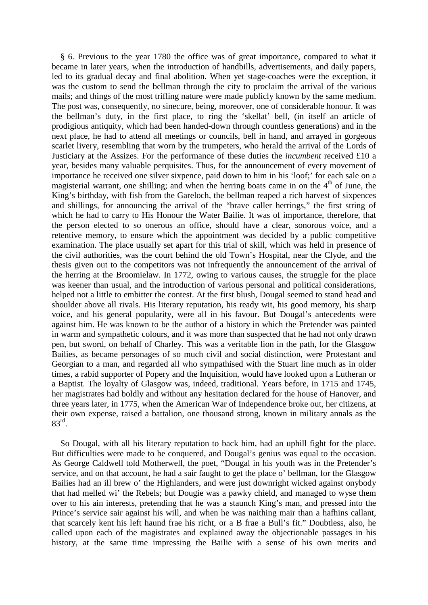§ 6. Previous to the year 1780 the office was of great importance, compared to what it became in later years, when the introduction of handbills, advertisements, and daily papers, led to its gradual decay and final abolition. When yet stage-coaches were the exception, it was the custom to send the bellman through the city to proclaim the arrival of the various mails; and things of the most trifling nature were made publicly known by the same medium. The post was, consequently, no sinecure, being, moreover, one of considerable honour. It was the bellman's duty, in the first place, to ring the 'skellat' bell, (in itself an article of prodigious antiquity, which had been handed-down through countless generations) and in the next place, he had to attend all meetings or councils, bell in hand, and arrayed in gorgeous scarlet livery, resembling that worn by the trumpeters, who herald the arrival of the Lords of Justiciary at the Assizes. For the performance of these duties the *incumbent* received £10 a year, besides many valuable perquisites. Thus, for the announcement of every movement of importance he received one silver sixpence, paid down to him in his 'loof;' for each sale on a magisterial warrant, one shilling; and when the herring boats came in on the  $4<sup>th</sup>$  of June, the King's birthday, with fish from the Gareloch, the bellman reaped a rich harvest of sixpences and shillings, for announcing the arrival of the "brave caller herrings," the first string of which he had to carry to His Honour the Water Bailie. It was of importance, therefore, that the person elected to so onerous an office, should have a clear, sonorous voice, and a retentive memory, to ensure which the appointment was decided by a public competitive examination. The place usually set apart for this trial of skill, which was held in presence of the civil authorities, was the court behind the old Town's Hospital, near the Clyde, and the thesis given out to the competitors was not infrequently the announcement of the arrival of the herring at the Broomielaw. In 1772, owing to various causes, the struggle for the place was keener than usual, and the introduction of various personal and political considerations, helped not a little to embitter the contest. At the first blush, Dougal seemed to stand head and shoulder above all rivals. His literary reputation, his ready wit, his good memory, his sharp voice, and his general popularity, were all in his favour. But Dougal's antecedents were against him. He was known to be the author of a history in which the Pretender was painted in warm and sympathetic colours, and it was more than suspected that he had not only drawn pen, but sword, on behalf of Charley. This was a veritable lion in the path, for the Glasgow Bailies, as became personages of so much civil and social distinction, were Protestant and Georgian to a man, and regarded all who sympathised with the Stuart line much as in older times, a rabid supporter of Popery and the Inquisition, would have looked upon a Lutheran or a Baptist. The loyalty of Glasgow was, indeed, traditional. Years before, in 1715 and 1745, her magistrates had boldly and without any hesitation declared for the house of Hanover, and three years later, in 1775, when the American War of Independence broke out, her citizens, at their own expense, raised a battalion, one thousand strong, known in military annals as the  $83<sup>rd</sup>$ .

So Dougal, with all his literary reputation to back him, had an uphill fight for the place. But difficulties were made to be conquered, and Dougal's genius was equal to the occasion. As George Caldwell told Motherwell, the poet, "Dougal in his youth was in the Pretender's service, and on that account, he had a sair faught to get the place o' bellman, for the Glasgow Bailies had an ill brew o' the Highlanders, and were just downright wicked against onybody that had melled wi' the Rebels; but Dougie was a pawky chield, and managed to wyse them over to his ain interests, pretending that he was a staunch King's man, and pressed into the Prince's service sair against his will, and when he was naithing mair than a hafhins callant, that scarcely kent his left haund frae his richt, or a B frae a Bull's fit." Doubtless, also, he called upon each of the magistrates and explained away the objectionable passages in his history, at the same time impressing the Bailie with a sense of his own merits and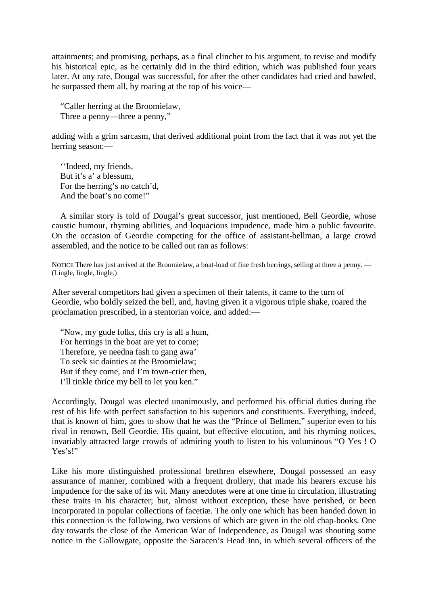attainments; and promising, perhaps, as a final clincher to his argument, to revise and modify his historical epic, as he certainly did in the third edition, which was published four years later. At any rate, Dougal was successful, for after the other candidates had cried and bawled, he surpassed them all, by roaring at the top of his voice—

"Caller herring at the Broomielaw, Three a penny—three a penny,"

adding with a grim sarcasm, that derived additional point from the fact that it was not yet the herring season:—

''Indeed, my friends, But it's a' a blessum, For the herring's no catch'd, And the boat's no come!"

A similar story is told of Dougal's great successor, just mentioned, Bell Geordie, whose caustic humour, rhyming abilities, and loquacious impudence, made him a public favourite. On the occasion of Geordie competing for the office of assistant-bellman, a large crowd assembled, and the notice to be called out ran as follows:

NOTICE There has just arrived at the Broomielaw, a boat-load of fine fresh herrings, selling at three a penny. — (Lingle, lingle, lingle.)

After several competitors had given a specimen of their talents, it came to the turn of Geordie, who boldly seized the bell, and, having given it a vigorous triple shake, roared the proclamation prescribed, in a stentorian voice, and added:—

"Now, my gude folks, this cry is all a hum, For herrings in the boat are yet to come; Therefore, ye needna fash to gang awa' To seek sic dainties at the Broomielaw; But if they come, and I'm town-crier then, I'll tinkle thrice my bell to let you ken."

Accordingly, Dougal was elected unanimously, and performed his official duties during the rest of his life with perfect satisfaction to his superiors and constituents. Everything, indeed, that is known of him, goes to show that he was the "Prince of Bellmen," superior even to his rival in renown, Bell Geordie. His quaint, but effective elocution, and his rhyming notices, invariably attracted large crowds of admiring youth to listen to his voluminous "O Yes ! O Yes's!"

Like his more distinguished professional brethren elsewhere, Dougal possessed an easy assurance of manner, combined with a frequent drollery, that made his hearers excuse his impudence for the sake of its wit. Many anecdotes were at one time in circulation, illustrating these traits in his character; but, almost without exception, these have perished, or been incorporated in popular collections of facetiæ. The only one which has been handed down in this connection is the following, two versions of which are given in the old chap-books. One day towards the close of the American War of Independence, as Dougal was shouting some notice in the Gallowgate, opposite the Saracen's Head Inn, in which several officers of the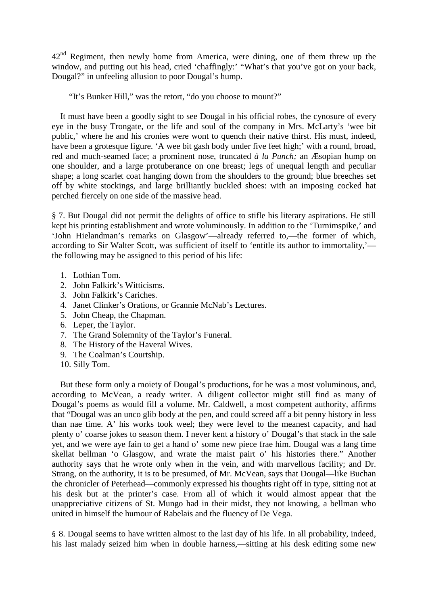42<sup>nd</sup> Regiment, then newly home from America, were dining, one of them threw up the window, and putting out his head, cried 'chaffingly:' "What's that you've got on your back, Dougal?" in unfeeling allusion to poor Dougal's hump.

"It's Bunker Hill," was the retort, "do you choose to mount?"

It must have been a goodly sight to see Dougal in his official robes, the cynosure of every eye in the busy Trongate, or the life and soul of the company in Mrs. McLarty's 'wee bit public,' where he and his cronies were wont to quench their native thirst. His must, indeed, have been a grotesque figure. 'A wee bit gash body under five feet high;' with a round, broad, red and much-seamed face; a prominent nose, truncated *à la Punch;* an Æsopian hump on one shoulder, and a large protuberance on one breast; legs of unequal length and peculiar shape; a long scarlet coat hanging down from the shoulders to the ground; blue breeches set off by white stockings, and large brilliantly buckled shoes: with an imposing cocked hat perched fiercely on one side of the massive head.

§ 7. But Dougal did not permit the delights of office to stifle his literary aspirations. He still kept his printing establishment and wrote voluminously. In addition to the 'Turnimspike,' and 'John Hielandman's remarks on Glasgow'—already referred to,—the former of which, according to Sir Walter Scott, was sufficient of itself to 'entitle its author to immortality,' the following may be assigned to this period of his life:

- 1. Lothian Tom.
- 2. John Falkirk's Witticisms.
- 3. John Falkirk's Cariches.
- 4. Janet Clinker's Orations, or Grannie McNab's Lectures.
- 5. John Cheap, the Chapman.
- 6. Leper, the Taylor.
- 7. The Grand Solemnity of the Taylor's Funeral.
- 8. The History of the Haveral Wives.
- 9. The Coalman's Courtship.
- 10. Silly Tom.

But these form only a moiety of Dougal's productions, for he was a most voluminous, and, according to McVean, a ready writer. A diligent collector might still find as many of Dougal's poems as would fill a volume. Mr. Caldwell, a most competent authority, affirms that "Dougal was an unco glib body at the pen, and could screed aff a bit penny history in less than nae time. A' his works took weel; they were level to the meanest capacity, and had plenty o' coarse jokes to season them. I never kent a history o' Dougal's that stack in the sale yet, and we were aye fain to get a hand o' some new piece frae him. Dougal was a lang time skellat bellman 'o Glasgow, and wrate the maist pairt o' his histories there." Another authority says that he wrote only when in the vein, and with marvellous facility; and Dr. Strang, on the authority, it is to be presumed, of Mr. McVean, says that Dougal—like Buchan the chronicler of Peterhead—commonly expressed his thoughts right off in type, sitting not at his desk but at the printer's case. From all of which it would almost appear that the unappreciative citizens of St. Mungo had in their midst, they not knowing, a bellman who united in himself the humour of Rabelais and the fluency of De Vega.

§ 8. Dougal seems to have written almost to the last day of his life. In all probability, indeed, his last malady seized him when in double harness,—sitting at his desk editing some new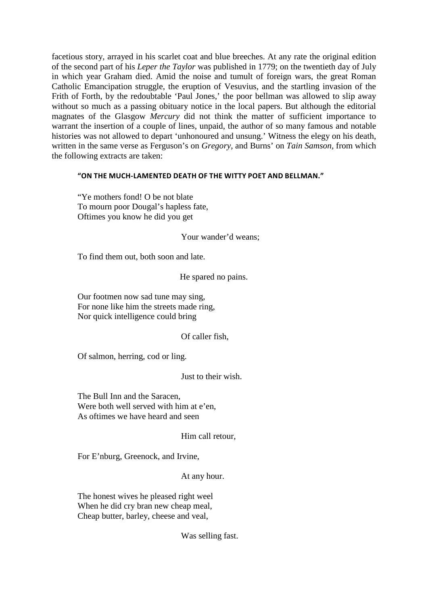facetious story, arrayed in his scarlet coat and blue breeches. At any rate the original edition of the second part of his *Leper the Taylor* was published in 1779; on the twentieth day of July in which year Graham died. Amid the noise and tumult of foreign wars, the great Roman Catholic Emancipation struggle, the eruption of Vesuvius, and the startling invasion of the Frith of Forth, by the redoubtable 'Paul Jones,' the poor bellman was allowed to slip away without so much as a passing obituary notice in the local papers. But although the editorial magnates of the Glasgow *Mercury* did not think the matter of sufficient importance to warrant the insertion of a couple of lines, unpaid, the author of so many famous and notable histories was not allowed to depart 'unhonoured and unsung.' Witness the elegy on his death, written in the same verse as Ferguson's on *Gregory,* and Burns' on *Tain Samson,* from which the following extracts are taken:

#### **"ON THE MUCH-LAMENTED DEATH OF THE WITTY POET AND BELLMAN."**

"Ye mothers fond! O be not blate To mourn poor Dougal's hapless fate, Oftimes you know he did you get

Your wander'd weans;

To find them out, both soon and late.

He spared no pains.

Our footmen now sad tune may sing, For none like him the streets made ring, Nor quick intelligence could bring

# Of caller fish,

Of salmon, herring, cod or ling.

Just to their wish.

The Bull Inn and the Saracen, Were both well served with him at e'en, As oftimes we have heard and seen

## Him call retour,

For E'nburg, Greenock, and Irvine,

At any hour.

The honest wives he pleased right weel When he did cry bran new cheap meal, Cheap butter, barley, cheese and veal,

Was selling fast.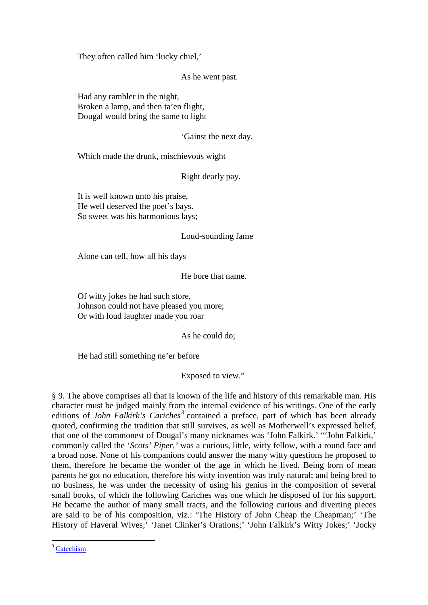They often called him 'lucky chiel,'

As he went past.

Had any rambler in the night, Broken a lamp, and then ta'en flight, Dougal would bring the same to light

'Gainst the next day,

Which made the drunk, mischievous wight

Right dearly pay.

It is well known unto his praise, He well deserved the poet's bays. So sweet was his harmonious lays;

## Loud-sounding fame

Alone can tell, how all his days

He bore that name.

Of witty jokes he had such store, Johnson could not have pleased you more; Or with loud laughter made you roar

As he could do;

He had still something ne'er before

Exposed to view."

§ 9. The above comprises all that is known of the life and history of this remarkable man. His character must be judged mainly from the internal evidence of his writings. One of the early editions of *John Falkirk's Cariches[3](#page-16-0)* contained a preface, part of which has been already quoted, confirming the tradition that still survives, as well as Motherwell's expressed belief, that one of the commonest of Dougal's many nicknames was 'John Falkirk.' "'John Falkirk,' commonly called the '*Scots' Piper,'* was a curious, little, witty fellow, with a round face and a broad nose. None of his companions could answer the many witty questions he proposed to them, therefore he became the wonder of the age in which he lived. Being born of mean parents he got no education, therefore his witty invention was truly natural; and being bred to no business, he was under the necessity of using his genius in the composition of several small books, of which the following Cariches was one which he disposed of for his support. He became the author of many small tracts, and the following curious and diverting pieces are said to be of his composition, viz.: 'The History of John Cheap the Cheapman;' 'The History of Haveral Wives;' 'Janet Clinker's Orations;' 'John Falkirk's Witty Jokes;' 'Jocky

<span id="page-16-0"></span><sup>&</sup>lt;sup>3</sup> [Catechism](http://en.wikipedia.org/wiki/Catechism)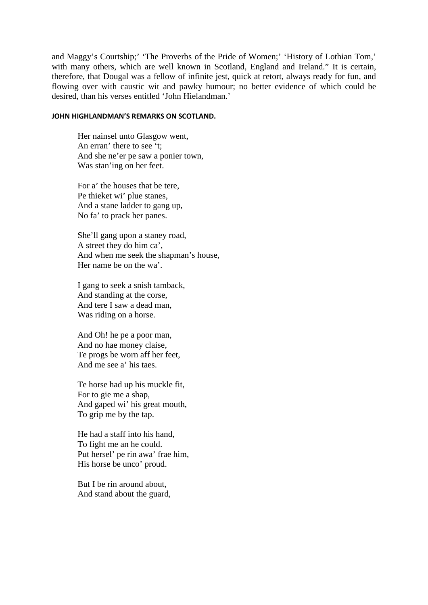and Maggy's Courtship;' 'The Proverbs of the Pride of Women;' 'History of Lothian Tom,' with many others, which are well known in Scotland, England and Ireland." It is certain, therefore, that Dougal was a fellow of infinite jest, quick at retort, always ready for fun, and flowing over with caustic wit and pawky humour; no better evidence of which could be desired, than his verses entitled 'John Hielandman.'

#### **JOHN HIGHLANDMAN'S REMARKS ON SCOTLAND.**

Her nainsel unto Glasgow went, An erran' there to see 't; And she ne'er pe saw a ponier town, Was stan'ing on her feet.

For a' the houses that be tere, Pe thieket wi' plue stanes, And a stane ladder to gang up, No fa' to prack her panes.

She'll gang upon a staney road, A street they do him ca', And when me seek the shapman's house, Her name be on the wa'.

I gang to seek a snish tamback, And standing at the corse, And tere I saw a dead man, Was riding on a horse.

And Oh! he pe a poor man, And no hae money claise, Te progs be worn aff her feet, And me see a' his taes.

Te horse had up his muckle fit, For to gie me a shap, And gaped wi' his great mouth, To grip me by the tap.

He had a staff into his hand, To fight me an he could. Put hersel' pe rin awa' frae him, His horse be unco' proud.

But I be rin around about, And stand about the guard,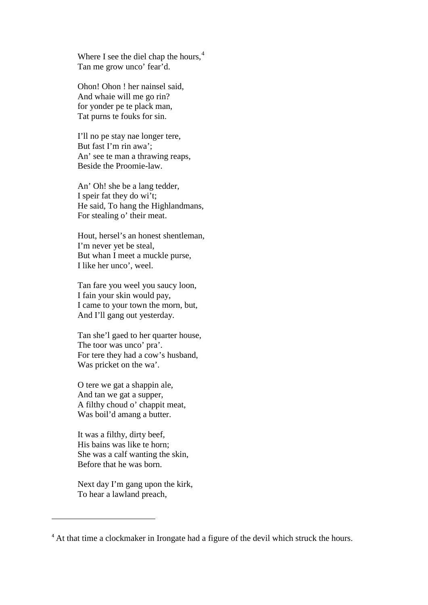Where I see the diel chap the hours,<sup>[4](#page-18-0)</sup> Tan me grow unco' fear'd.

Ohon! Ohon ! her nainsel said, And whaie will me go rin? for yonder pe te plack man, Tat purns te fouks for sin.

I'll no pe stay nae longer tere, But fast I'm rin awa'; An' see te man a thrawing reaps, Beside the Proomie-law.

An' Oh! she be a lang tedder, I speir fat they do wi't; He said, To hang the Highlandmans, For stealing o' their meat.

Hout, hersel's an honest shentleman, I'm never yet be steal, But whan I meet a muckle purse, I like her unco', weel.

Tan fare you weel you saucy loon, I fain your skin would pay, I came to your town the morn, but, And I'll gang out yesterday.

Tan she'l gaed to her quarter house, The toor was unco' pra'. For tere they had a cow's husband, Was pricket on the wa'.

O tere we gat a shappin ale, And tan we gat a supper, A filthy choud o' chappit meat, Was boil'd amang a butter.

It was a filthy, dirty beef, His bains was like te horn; She was a calf wanting the skin, Before that he was born.

Next day I'm gang upon the kirk, To hear a lawland preach,

 $\overline{a}$ 

<span id="page-18-0"></span><sup>&</sup>lt;sup>4</sup> At that time a clockmaker in Irongate had a figure of the devil which struck the hours.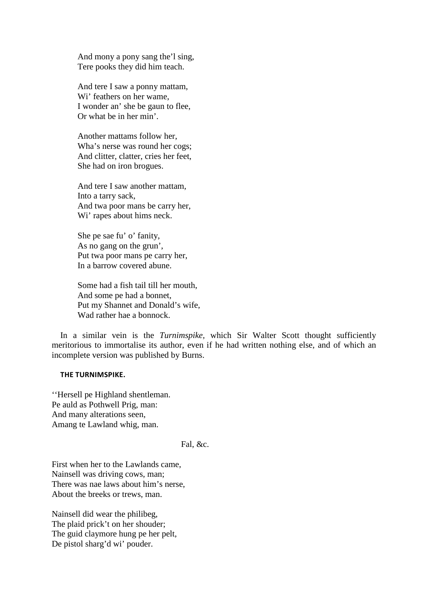And mony a pony sang the'l sing, Tere pooks they did him teach.

And tere I saw a ponny mattam, Wi' feathers on her wame, I wonder an' she be gaun to flee, Or what be in her min'.

Another mattams follow her, Wha's nerse was round her cogs; And clitter, clatter, cries her feet, She had on iron brogues.

And tere I saw another mattam, Into a tarry sack, And twa poor mans be carry her, Wi' rapes about hims neck.

She pe sae fu' o' fanity, As no gang on the grun', Put twa poor mans pe carry her, In a barrow covered abune.

Some had a fish tail till her mouth, And some pe had a bonnet, Put my Shannet and Donald's wife, Wad rather hae a bonnock

In a similar vein is the *Turnimspike,* which Sir Walter Scott thought sufficiently meritorious to immortalise its author, even if he had written nothing else, and of which an incomplete version was published by Burns.

#### **THE TURNIMSPIKE.**

''Hersell pe Highland shentleman. Pe auld as Pothwell Prig, man: And many alterations seen, Amang te Lawland whig, man.

## Fal, &c.

First when her to the Lawlands came, Nainsell was driving cows, man; There was nae laws about him's nerse, About the breeks or trews, man.

Nainsell did wear the philibeg, The plaid prick't on her shouder; The guid claymore hung pe her pelt, De pistol sharg'd wi' pouder.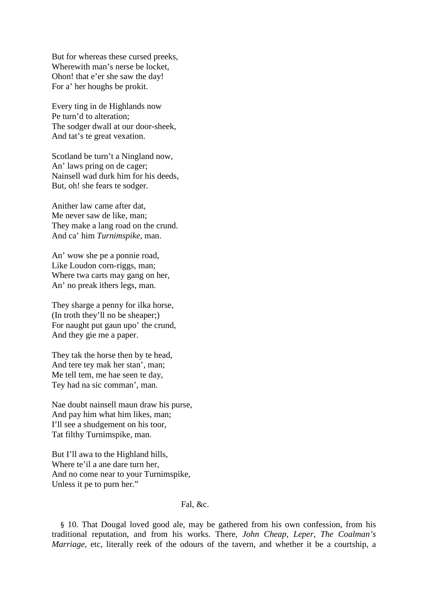But for whereas these cursed preeks, Wherewith man's nerse be locket, Ohon! that e'er she saw the day! For a' her houghs be prokit.

Every ting in de Highlands now Pe turn'd to alteration; The sodger dwall at our door-sheek, And tat's te great vexation.

Scotland be turn't a Ningland now, An' laws pring on de cager; Nainsell wad durk him for his deeds, But, oh! she fears te sodger.

Anither law came after dat, Me never saw de like, man; They make a lang road on the crund. And ca' him *Turnimspike,* man.

An' wow she pe a ponnie road, Like Loudon corn-riggs, man; Where twa carts may gang on her, An' no preak ithers legs, man.

They sharge a penny for ilka horse, (In troth they'll no be sheaper;) For naught put gaun upo' the crund, And they gie me a paper.

They tak the horse then by te head, And tere tey mak her stan', man; Me tell tem, me hae seen te day, Tey had na sic comman', man.

Nae doubt nainsell maun draw his purse, And pay him what him likes, man; I'll see a shudgement on his toor, Tat filthy Turnimspike, man.

But I'll awa to the Highland hills, Where te'il a ane dare turn her, And no come near to your Turnimspike, Unless it pe to purn her."

Fal, &c.

§ 10. That Dougal loved good ale, may be gathered from his own confession, from his traditional reputation, and from his works. There, *John Cheap, Leper, The Coalman's Marriage, etc, literally reek of the odours of the tavern, and whether it be a courtship, a*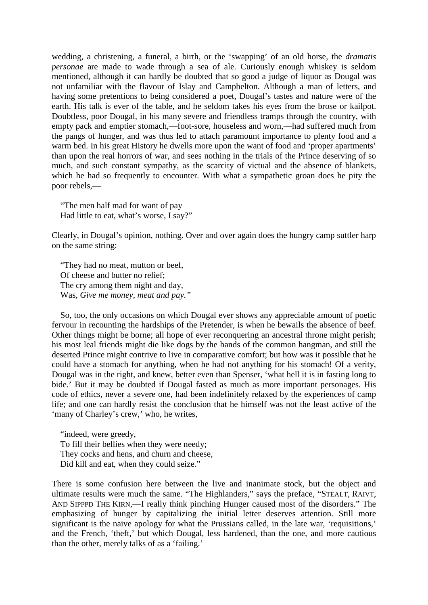wedding, a christening, a funeral, a birth, or the 'swapping' of an old horse, the *dramatis personae* are made to wade through a sea of ale. Curiously enough whiskey is seldom mentioned, although it can hardly be doubted that so good a judge of liquor as Dougal was not unfamiliar with the flavour of Islay and Campbelton. Although a man of letters, and having some pretentions to being considered a poet, Dougal's tastes and nature were of the earth. His talk is ever of the table, and he seldom takes his eyes from the brose or kailpot. Doubtless, poor Dougal, in his many severe and friendless tramps through the country, with empty pack and emptier stomach,—foot-sore, houseless and worn,—had suffered much from the pangs of hunger, and was thus led to attach paramount importance to plenty food and a warm bed. In his great History he dwells more upon the want of food and 'proper apartments' than upon the real horrors of war, and sees nothing in the trials of the Prince deserving of so much, and such constant sympathy, as the scarcity of victual and the absence of blankets, which he had so frequently to encounter. With what a sympathetic groan does he pity the poor rebels,—

"The men half mad for want of pay Had little to eat, what's worse, I say?"

Clearly, in Dougal's opinion, nothing. Over and over again does the hungry camp suttler harp on the same string:

"They had no meat, mutton or beef, Of cheese and butter no relief; The cry among them night and day, Was, *Give me money, meat and pay."*

So, too, the only occasions on which Dougal ever shows any appreciable amount of poetic fervour in recounting the hardships of the Pretender, is when he bewails the absence of beef. Other things might be borne; all hope of ever reconquering an ancestral throne might perish; his most leal friends might die like dogs by the hands of the common hangman, and still the deserted Prince might contrive to live in comparative comfort; but how was it possible that he could have a stomach for anything, when he had not anything for his stomach! Of a verity, Dougal was in the right, and knew, better even than Spenser, 'what hell it is in fasting long to bide.' But it may be doubted if Dougal fasted as much as more important personages. His code of ethics, never a severe one, had been indefinitely relaxed by the experiences of camp life; and one can hardly resist the conclusion that he himself was not the least active of the 'many of Charley's crew,' who, he writes,

"indeed, were greedy, To fill their bellies when they were needy; They cocks and hens, and churn and cheese, Did kill and eat, when they could seize."

There is some confusion here between the live and inanimate stock, but the object and ultimate results were much the same. "The Highlanders," says the preface, "STEALT, RAIVT, AND SIPPPD THE KIRN,—I really think pinching Hunger caused most of the disorders." The emphasizing of hunger by capitalizing the initial letter deserves attention. Still more significant is the naive apology for what the Prussians called, in the late war, 'requisitions,' and the French, 'theft,' but which Dougal, less hardened, than the one, and more cautious than the other, merely talks of as a 'failing.'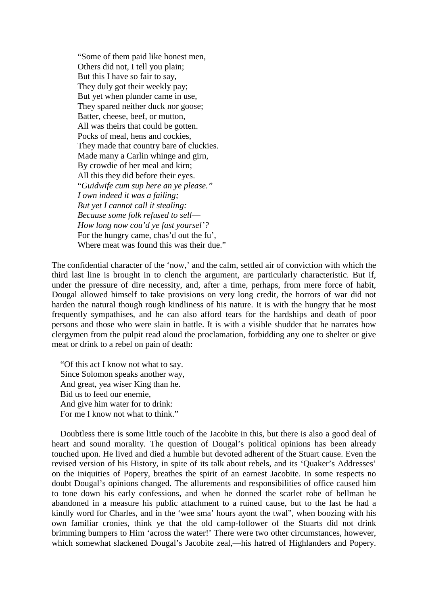"Some of them paid like honest men, Others did not, I tell you plain; But this I have so fair to say, They duly got their weekly pay; But yet when plunder came in use, They spared neither duck nor goose; Batter, cheese, beef, or mutton, All was theirs that could be gotten. Pocks of meal, hens and cockies, They made that country bare of cluckies. Made many a Carlin whinge and girn, By crowdie of her meal and kirn; All this they did before their eyes. "*Guidwife cum sup here an ye please." I own indeed it was a failing; But yet I cannot call it stealing: Because some folk refused to sell*— *How long now cou'd ye fast yoursel'?* For the hungry came, chas'd out the fu', Where meat was found this was their due."

The confidential character of the 'now,' and the calm, settled air of conviction with which the third last line is brought in to clench the argument, are particularly characteristic. But if, under the pressure of dire necessity, and, after a time, perhaps, from mere force of habit, Dougal allowed himself to take provisions on very long credit, the horrors of war did not harden the natural though rough kindliness of his nature. It is with the hungry that he most frequently sympathises, and he can also afford tears for the hardships and death of poor persons and those who were slain in battle. It is with a visible shudder that he narrates how clergymen from the pulpit read aloud the proclamation, forbidding any one to shelter or give meat or drink to a rebel on pain of death:

"Of this act I know not what to say. Since Solomon speaks another way, And great, yea wiser King than he. Bid us to feed our enemie, And give him water for to drink: For me I know not what to think."

Doubtless there is some little touch of the Jacobite in this, but there is also a good deal of heart and sound morality. The question of Dougal's political opinions has been already touched upon. He lived and died a humble but devoted adherent of the Stuart cause. Even the revised version of his History, in spite of its talk about rebels, and its 'Quaker's Addresses' on the iniquities of Popery, breathes the spirit of an earnest Jacobite. In some respects no doubt Dougal's opinions changed. The allurements and responsibilities of office caused him to tone down his early confessions, and when he donned the scarlet robe of bellman he abandoned in a measure his public attachment to a ruined cause, but to the last he had a kindly word for Charles, and in the 'wee sma' hours ayont the twal", when boozing with his own familiar cronies, think ye that the old camp-follower of the Stuarts did not drink brimming bumpers to Him 'across the water!' There were two other circumstances, however, which somewhat slackened Dougal's Jacobite zeal,—his hatred of Highlanders and Popery.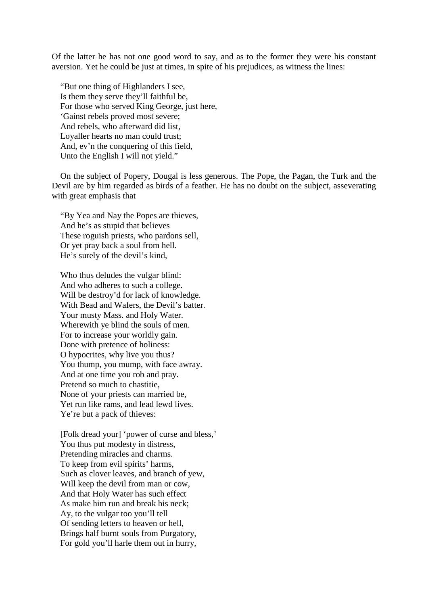Of the latter he has not one good word to say, and as to the former they were his constant aversion. Yet he could be just at times, in spite of his prejudices, as witness the lines:

"But one thing of Highlanders I see, Is them they serve they'll faithful be, For those who served King George, just here, 'Gainst rebels proved most severe; And rebels, who afterward did list, Loyaller hearts no man could trust; And, ev'n the conquering of this field. Unto the English I will not yield."

On the subject of Popery, Dougal is less generous. The Pope, the Pagan, the Turk and the Devil are by him regarded as birds of a feather. He has no doubt on the subject, asseverating with great emphasis that

"By Yea and Nay the Popes are thieves, And he's as stupid that believes These roguish priests, who pardons sell, Or yet pray back a soul from hell. He's surely of the devil's kind,

Who thus deludes the vulgar blind: And who adheres to such a college. Will be destroy'd for lack of knowledge. With Bead and Wafers, the Devil's batter. Your musty Mass. and Holy Water. Wherewith ye blind the souls of men. For to increase your worldly gain. Done with pretence of holiness: O hypocrites, why live you thus? You thump, you mump, with face awray. And at one time you rob and pray. Pretend so much to chastitie, None of your priests can married be, Yet run like rams, and lead lewd lives. Ye're but a pack of thieves:

[Folk dread your] 'power of curse and bless,' You thus put modesty in distress, Pretending miracles and charms. To keep from evil spirits' harms, Such as clover leaves, and branch of yew, Will keep the devil from man or cow, And that Holy Water has such effect As make him run and break his neck; Ay, to the vulgar too you'll tell Of sending letters to heaven or hell, Brings half burnt souls from Purgatory, For gold you'll harle them out in hurry,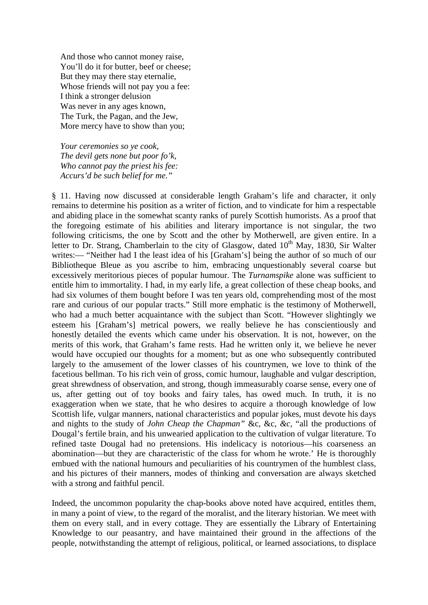And those who cannot money raise, You'll do it for butter, beef or cheese; But they may there stay eternalie, Whose friends will not pay you a fee: I think a stronger delusion Was never in any ages known, The Turk, the Pagan, and the Jew, More mercy have to show than you;

*Your ceremonies so ye cook, The devil gets none but poor fo'k, Who cannot pay the priest his fee: Accurs'd be such belief for me."*

§ 11. Having now discussed at considerable length Graham's life and character, it only remains to determine his position as a writer of fiction, and to vindicate for him a respectable and abiding place in the somewhat scanty ranks of purely Scottish humorists. As a proof that the foregoing estimate of his abilities and literary importance is not singular, the two following criticisms, the one by Scott and the other by Motherwell, are given entire. In a letter to Dr. Strang, Chamberlain to the city of Glasgow, dated  $10<sup>th</sup>$  May, 1830, Sir Walter writes:— "Neither had I the least idea of his [Graham's] being the author of so much of our Bibliotheque Bleue as you ascribe to him, embracing unquestionably several coarse but excessively meritorious pieces of popular humour. The *Turnamspike* alone was sufficient to entitle him to immortality. I had, in my early life, a great collection of these cheap books, and had six volumes of them bought before I was ten years old, comprehending most of the most rare and curious of our popular tracts." Still more emphatic is the testimony of Motherwell, who had a much better acquaintance with the subject than Scott. "However slightingly we esteem his [Graham's] metrical powers, we really believe he has conscientiously and honestly detailed the events which came under his observation. It is not, however, on the merits of this work, that Graham's fame rests. Had he written only it, we believe he never would have occupied our thoughts for a moment; but as one who subsequently contributed largely to the amusement of the lower classes of his countrymen, we love to think of the facetious bellman. To his rich vein of gross, comic humour, laughable and vulgar description, great shrewdness of observation, and strong, though immeasurably coarse sense, every one of us, after getting out of toy books and fairy tales, has owed much. In truth, it is no exaggeration when we state, that he who desires to acquire a thorough knowledge of low Scottish life, vulgar manners, national characteristics and popular jokes, must devote his days and nights to the study of *John Cheap the Chapman"* &c, &c, *&c,* "all the productions of Dougal's fertile brain, and his unwearied application to the cultivation of vulgar literature. To refined taste Dougal had no pretensions. His indelicacy is notorious—his coarseness an abomination—but they are characteristic of the class for whom he wrote.' He is thoroughly embued with the national humours and peculiarities of his countrymen of the humblest class, and his pictures of their manners, modes of thinking and conversation are always sketched with a strong and faithful pencil.

Indeed, the uncommon popularity the chap-books above noted have acquired, entitles them, in many a point of view, to the regard of the moralist, and the literary historian. We meet with them on every stall, and in every cottage. They are essentially the Library of Entertaining Knowledge to our peasantry, and have maintained their ground in the affections of the people, notwithstanding the attempt of religious, political, or learned associations, to displace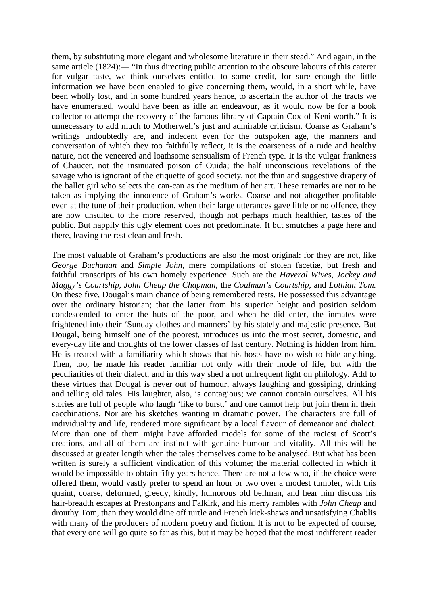them, by substituting more elegant and wholesome literature in their stead." And again, in the same article (1824):— "In thus directing public attention to the obscure labours of this caterer for vulgar taste, we think ourselves entitled to some credit, for sure enough the little information we have been enabled to give concerning them, would, in a short while, have been wholly lost, and in some hundred years hence, to ascertain the author of the tracts we have enumerated, would have been as idle an endeavour, as it would now be for a book collector to attempt the recovery of the famous library of Captain Cox of Kenilworth." It is unnecessary to add much to Motherwell's just and admirable criticism. Coarse as Graham's writings undoubtedly are, and indecent even for the outspoken age, the manners and conversation of which they too faithfully reflect, it is the coarseness of a rude and healthy nature, not the veneered and loathsome sensualism of French type. It is the vulgar frankness of Chaucer, not the insinuated poison of Ouida; the half unconscious revelations of the savage who is ignorant of the etiquette of good society, not the thin and suggestive drapery of the ballet girl who selects the can-can as the medium of her art. These remarks are not to be taken as implying the innocence of Graham's works. Coarse and not altogether profitable even at the tune of their production, when their large utterances gave little or no offence, they are now unsuited to the more reserved, though not perhaps much healthier, tastes of the public. But happily this ugly element does not predominate. It but smutches a page here and there, leaving the rest clean and fresh.

The most valuable of Graham's productions are also the most original: for they are not, like *George Buchanan* and *Simple John,* mere compilations of stolen facetiæ, but fresh and faithful transcripts of his own homely experience. Such are the *Haveral Wives, Jockey and Maggy's Courtship, John Cheap the Chapman,* the *Coalman's Courtship,* and *Lothian Tom.*  On these five, Dougal's main chance of being remembered rests. He possessed this advantage over the ordinary historian; that the latter from his superior height and position seldom condescended to enter the huts of the poor, and when he did enter, the inmates were frightened into their 'Sunday clothes and manners' by his stately and majestic presence. But Dougal, being himself one of the poorest, introduces us into the most secret, domestic, and every-day life and thoughts of the lower classes of last century. Nothing is hidden from him. He is treated with a familiarity which shows that his hosts have no wish to hide anything. Then, too, he made his reader familiar not only with their mode of life, but with the peculiarities of their dialect, and in this way shed a not unfrequent light on philology. Add to these virtues that Dougal is never out of humour, always laughing and gossiping, drinking and telling old tales. His laughter, also, is contagious; we cannot contain ourselves. All his stories are full of people who laugh 'like to burst,' and one cannot help but join them in their cacchinations. Nor are his sketches wanting in dramatic power. The characters are full of individuality and life, rendered more significant by a local flavour of demeanor and dialect. More than one of them might have afforded models for some of the raciest of Scott's creations, and all of them are instinct with genuine humour and vitality. All this will be discussed at greater length when the tales themselves come to be analysed. But what has been written is surely a sufficient vindication of this volume; the material collected in which it would be impossible to obtain fifty years hence. There are not a few who, if the choice were offered them, would vastly prefer to spend an hour or two over a modest tumbler, with this quaint, coarse, deformed, greedy, kindly, humorous old bellman, and hear him discuss his hair-breadth escapes at Prestonpans and Falkirk, and his merry rambles with *John Cheap* and drouthy Tom, than they would dine off turtle and French kick-shaws and unsatisfying Chablis with many of the producers of modern poetry and fiction. It is not to be expected of course, that every one will go quite so far as this, but it may be hoped that the most indifferent reader